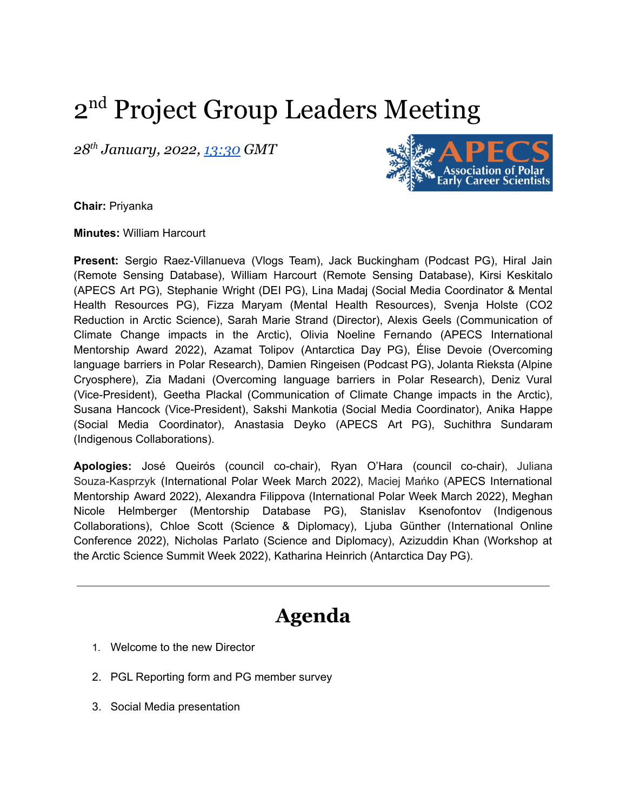# 2<sup>nd</sup> Project Group Leaders Meeting

*28 th January, 2022, [13:30](https://us02web.zoom.us/j/85883182017?pwd=SklhNHphRWNHNWZzcmdodEdhKy9Ydz09L0oyR1dITkpJUT09) GMT*



**Chair:** Priyanka

**Minutes:** William Harcourt

**Present:** Sergio Raez-Villanueva (Vlogs Team), Jack Buckingham (Podcast PG), Hiral Jain (Remote Sensing Database), William Harcourt (Remote Sensing Database), Kirsi Keskitalo (APECS Art PG), Stephanie Wright (DEI PG), Lina Madaj (Social Media Coordinator & Mental Health Resources PG), Fizza Maryam (Mental Health Resources), Svenja Holste (CO2 Reduction in Arctic Science), Sarah Marie Strand (Director), Alexis Geels (Communication of Climate Change impacts in the Arctic), Olivia Noeline Fernando (APECS International Mentorship Award 2022), Azamat Tolipov (Antarctica Day PG), Élise Devoie (Overcoming language barriers in Polar Research), Damien Ringeisen (Podcast PG), Jolanta Rieksta (Alpine Cryosphere), Zia Madani (Overcoming language barriers in Polar Research), Deniz Vural (Vice-President), Geetha Plackal (Communication of Climate Change impacts in the Arctic), Susana Hancock (Vice-President), Sakshi Mankotia (Social Media Coordinator), Anika Happe (Social Media Coordinator), Anastasia Deyko (APECS Art PG), Suchithra Sundaram (Indigenous Collaborations).

**Apologies:** José Queirós (council co-chair), Ryan O'Hara (council co-chair), Juliana Souza-Kasprzyk (International Polar Week March 2022), Maciej Mańko (APECS International Mentorship Award 2022), Alexandra Filippova (International Polar Week March 2022), Meghan Nicole Helmberger (Mentorship Database PG), Stanislav Ksenofontov (Indigenous Collaborations), Chloe Scott (Science & Diplomacy), Ljuba Günther (International Online Conference 2022), Nicholas Parlato (Science and Diplomacy), Azizuddin Khan (Workshop at the Arctic Science Summit Week 2022), Katharina Heinrich (Antarctica Day PG).

# **Agenda**

- 1. Welcome to the new Director
- 2. PGL Reporting form and PG member survey
- 3. Social Media presentation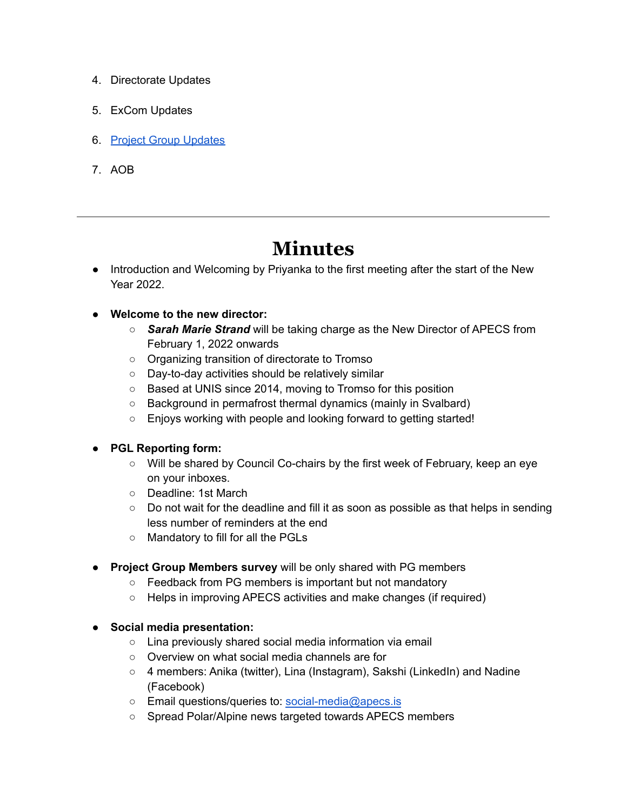- 4. Directorate Updates
- 5. ExCom Updates
- 6. Project Group [Updates](https://docs.google.com/document/d/10MO9O6dj7rGwFr5wajH9gy0OrU-Z0Pq-ZD_5Na5e8to/edit#7rGwFr5wajH9gy0OrU-Z0Pq-ZD_5Na5e8to/editKP1PX0MKh25EJVp4jAp40OoJZE/edit#3Ux4H6PMCBp6G4-w9yW5umVatoPdaRwkbb7eqKpM/edit#)
- 7. AOB

# **Minutes**

● Introduction and Welcoming by Priyanka to the first meeting after the start of the New Year 2022.

# **● Welcome to the new director:**

- *Sarah Marie Strand* will be taking charge as the New Director of APECS from February 1, 2022 onwards
- Organizing transition of directorate to Tromso
- Day-to-day activities should be relatively similar
- Based at UNIS since 2014, moving to Tromso for this position
- Background in permafrost thermal dynamics (mainly in Svalbard)
- Enjoys working with people and looking forward to getting started!

### **● PGL Reporting form:**

- Will be shared by Council Co-chairs by the first week of February, keep an eye on your inboxes.
- Deadline: 1st March
- Do not wait for the deadline and fill it as soon as possible as that helps in sending less number of reminders at the end
- Mandatory to fill for all the PGLs
- **Project Group Members survey** will be only shared with PG members
	- Feedback from PG members is important but not mandatory
	- Helps in improving APECS activities and make changes (if required)
- **● Social media presentation:**
	- Lina previously shared social media information via email
	- Overview on what social media channels are for
	- $\circ$  4 members: Anika (twitter), Lina (Instagram), Sakshi (LinkedIn) and Nadine (Facebook)
	- Email questions/queries to: [social-media@apecs.is](mailto:social-media@apecs.is)
	- Spread Polar/Alpine news targeted towards APECS members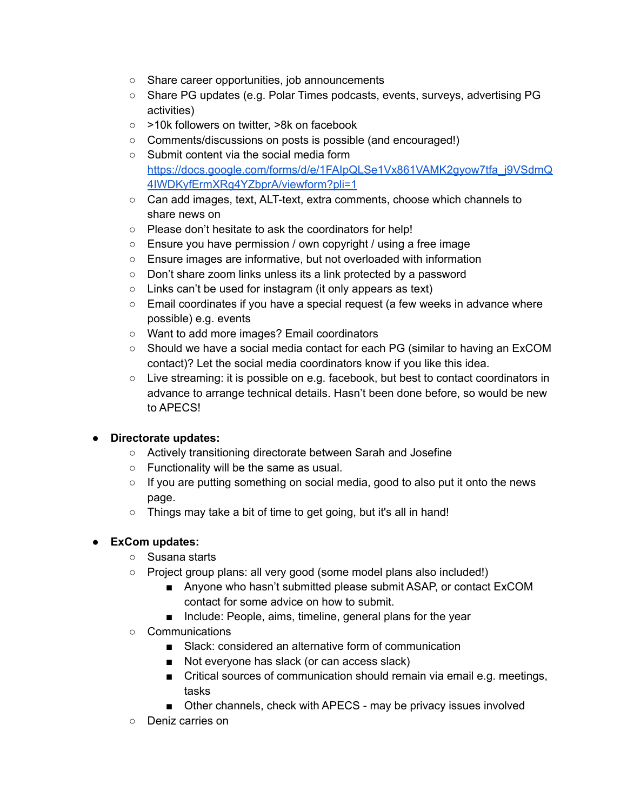- Share career opportunities, job announcements
- Share PG updates (e.g. Polar Times podcasts, events, surveys, advertising PG activities)
- >10k followers on twitter, >8k on facebook
- Comments/discussions on posts is possible (and encouraged!)
- Submit content via the social media form [https://docs.google.com/forms/d/e/1FAIpQLSe1Vx861VAMK2gyow7tfa\\_j9VSdmQ](https://docs.google.com/forms/d/e/1FAIpQLSe1Vx861VAMK2gyow7tfa_j9VSdmQ4IWDKyfErmXRg4YZbprA/viewform?pli=1) [4IWDKyfErmXRg4YZbprA/viewform?pli=1](https://docs.google.com/forms/d/e/1FAIpQLSe1Vx861VAMK2gyow7tfa_j9VSdmQ4IWDKyfErmXRg4YZbprA/viewform?pli=1)
- Can add images, text, ALT-text, extra comments, choose which channels to share news on
- Please don't hesitate to ask the coordinators for help!
- Ensure you have permission / own copyright / using a free image
- Ensure images are informative, but not overloaded with information
- Don't share zoom links unless its a link protected by a password
- Links can't be used for instagram (it only appears as text)
- Email coordinates if you have a special request (a few weeks in advance where possible) e.g. events
- Want to add more images? Email coordinators
- Should we have a social media contact for each PG (similar to having an ExCOM contact)? Let the social media coordinators know if you like this idea.
- Live streaming: it is possible on e.g. facebook, but best to contact coordinators in advance to arrange technical details. Hasn't been done before, so would be new to APECS!

### **● Directorate updates:**

- Actively transitioning directorate between Sarah and Josefine
- Functionality will be the same as usual.
- If you are putting something on social media, good to also put it onto the news page.
- Things may take a bit of time to get going, but it's all in hand!

# **● ExCom updates:**

- Susana starts
- Project group plans: all very good (some model plans also included!)
	- Anyone who hasn't submitted please submit ASAP, or contact ExCOM contact for some advice on how to submit.
	- Include: People, aims, timeline, general plans for the year
- Communications
	- Slack: considered an alternative form of communication
	- Not everyone has slack (or can access slack)
	- Critical sources of communication should remain via email e.g. meetings, tasks
	- Other channels, check with APECS may be privacy issues involved
- Deniz carries on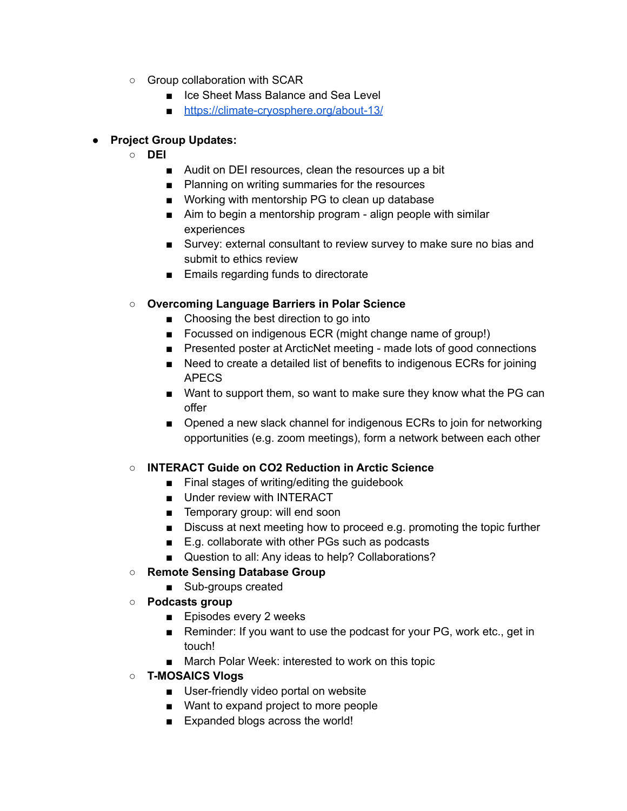- Group collaboration with SCAR
	- Ice Sheet Mass Balance and Sea Level
	- <https://climate-cryosphere.org/about-13/>

# **● Project Group Updates:**

- **○ DEI**
	- Audit on DEI resources, clean the resources up a bit
	- Planning on writing summaries for the resources
	- Working with mentorship PG to clean up database
	- Aim to begin a mentorship program align people with similar experiences
	- Survey: external consultant to review survey to make sure no bias and submit to ethics review
	- Emails regarding funds to directorate

# **○ Overcoming Language Barriers in Polar Science**

- Choosing the best direction to go into
- Focussed on indigenous ECR (might change name of group!)
- Presented poster at ArcticNet meeting made lots of good connections
- Need to create a detailed list of benefits to indigenous ECRs for joining APECS
- Want to support them, so want to make sure they know what the PG can offer
- Opened a new slack channel for indigenous ECRs to join for networking opportunities (e.g. zoom meetings), form a network between each other

## **○ INTERACT Guide on CO2 Reduction in Arctic Science**

- Final stages of writing/editing the quidebook
- Under review with INTERACT
- Temporary group: will end soon
- Discuss at next meeting how to proceed e.g. promoting the topic further
- E.g. collaborate with other PGs such as podcasts
- Question to all: Any ideas to help? Collaborations?

### **○ Remote Sensing Database Group**

- Sub-groups created
- **○ Podcasts group**
	- Episodes every 2 weeks
	- Reminder: If you want to use the podcast for your PG, work etc., get in touch!
	- March Polar Week: interested to work on this topic
- **○ T-MOSAICS Vlogs**
	- User-friendly video portal on website
	- Want to expand project to more people
	- Expanded blogs across the world!